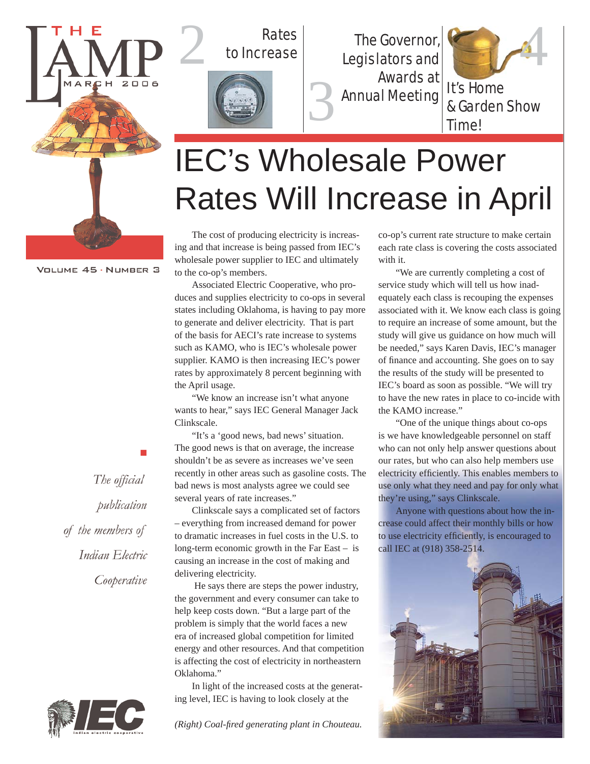

# Rates



Rates<br>to Increase The Governor, Legislators and Awards at Annual Meeting



& Garden Show Time!

## IEC's Wholesale Power Rates Will Increase in April

3

The cost of producing electricity is increasing and that increase is being passed from IEC's wholesale power supplier to IEC and ultimately to the co-op's members.

Associated Electric Cooperative, who produces and supplies electricity to co-ops in several states including Oklahoma, is having to pay more to generate and deliver electricity. That is part of the basis for AECI's rate increase to systems such as KAMO, who is IEC's wholesale power supplier. KAMO is then increasing IEC's power rates by approximately 8 percent beginning with the April usage.

"We know an increase isn't what anyone wants to hear," says IEC General Manager Jack Clinkscale.

"It's a 'good news, bad news' situation. The good news is that on average, the increase shouldn't be as severe as increases we've seen recently in other areas such as gasoline costs. The bad news is most analysts agree we could see several years of rate increases."

Clinkscale says a complicated set of factors – everything from increased demand for power to dramatic increases in fuel costs in the U.S. to long-term economic growth in the Far East – is causing an increase in the cost of making and delivering electricity.

 He says there are steps the power industry, the government and every consumer can take to help keep costs down. "But a large part of the problem is simply that the world faces a new era of increased global competition for limited energy and other resources. And that competition is affecting the cost of electricity in northeastern Oklahoma."

In light of the increased costs at the generating level, IEC is having to look closely at the

*(Right) Coal-fi red generating plant in Chouteau.*

co-op's current rate structure to make certain each rate class is covering the costs associated with it.

"We are currently completing a cost of service study which will tell us how inadequately each class is recouping the expenses associated with it. We know each class is going to require an increase of some amount, but the study will give us guidance on how much will be needed," says Karen Davis, IEC's manager of finance and accounting. She goes on to say the results of the study will be presented to IEC's board as soon as possible. "We will try to have the new rates in place to co-incide with the KAMO increase."

"One of the unique things about co-ops is we have knowledgeable personnel on staff who can not only help answer questions about our rates, but who can also help members use electricity efficiently. This enables members to use only what they need and pay for only what they're using," says Clinkscale.

Anyone with questions about how the increase could affect their monthly bills or how to use electricity efficiently, is encouraged to call IEC at (918) 358-2514.



VOLUME 45 · NUMBER 3

The official publication of the members of Indian Electric Cooperative

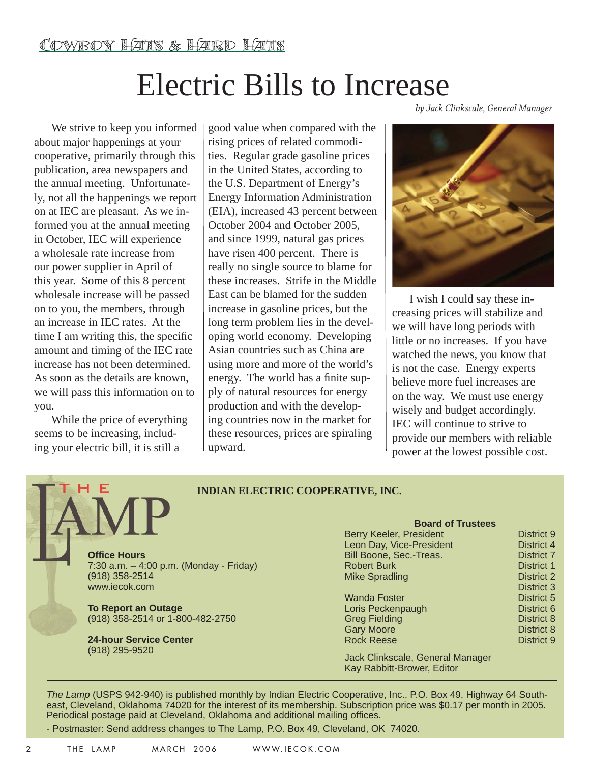### Electric Bills to Increase

We strive to keep you informed about major happenings at your cooperative, primarily through this publication, area newspapers and the annual meeting. Unfortunately, not all the happenings we report on at IEC are pleasant. As we informed you at the annual meeting in October, IEC will experience a wholesale rate increase from our power supplier in April of this year. Some of this 8 percent wholesale increase will be passed on to you, the members, through an increase in IEC rates. At the time I am writing this, the specific amount and timing of the IEC rate increase has not been determined. As soon as the details are known, we will pass this information on to you.

While the price of everything seems to be increasing, including your electric bill, it is still a

F

good value when compared with the rising prices of related commodities. Regular grade gasoline prices in the United States, according to the U.S. Department of Energy's Energy Information Administration (EIA), increased 43 percent between October 2004 and October 2005, and since 1999, natural gas prices have risen 400 percent. There is really no single source to blame for these increases. Strife in the Middle East can be blamed for the sudden increase in gasoline prices, but the long term problem lies in the developing world economy. Developing Asian countries such as China are using more and more of the world's energy. The world has a finite supply of natural resources for energy production and with the developing countries now in the market for these resources, prices are spiraling upward.

*by Jack Clinkscale, General Manager*



I wish I could say these increasing prices will stabilize and we will have long periods with little or no increases. If you have watched the news, you know that is not the case. Energy experts believe more fuel increases are on the way. We must use energy wisely and budget accordingly. IEC will continue to strive to provide our members with reliable power at the lowest possible cost.

#### **INDIAN ELECTRIC COOPERATIVE, INC.**

**Offi ce Hours** 7:30 a.m. – 4:00 p.m. (Monday - Friday) (918) 358-2514 www.iecok.com

**To Report an Outage** (918) 358-2514 or 1-800-482-2750

**24-hour Service Center**  (918) 295-9520

#### **Board of Trustees** Berry Keeler, President District 9 Leon Day, Vice-President District 4 Bill Boone, Sec.-Treas. District 7 Robert Burk District 1 Mike Spradling District 2 District 3 Wanda Foster **District 5** Loris Peckenpaugh District 6 Greg Fielding **District 8** Gary Moore **District 8** Rock Reese District 9

Jack Clinkscale, General Manager Kay Rabbitt-Brower, Editor

*The Lamp* (USPS 942-940) is published monthly by Indian Electric Cooperative, Inc., P.O. Box 49, Highway 64 Southeast, Cleveland, Oklahoma 74020 for the interest of its membership. Subscription price was \$0.17 per month in 2005. Periodical postage paid at Cleveland, Oklahoma and additional mailing offices.

- Postmaster: Send address changes to The Lamp, P.O. Box 49, Cleveland, OK 74020.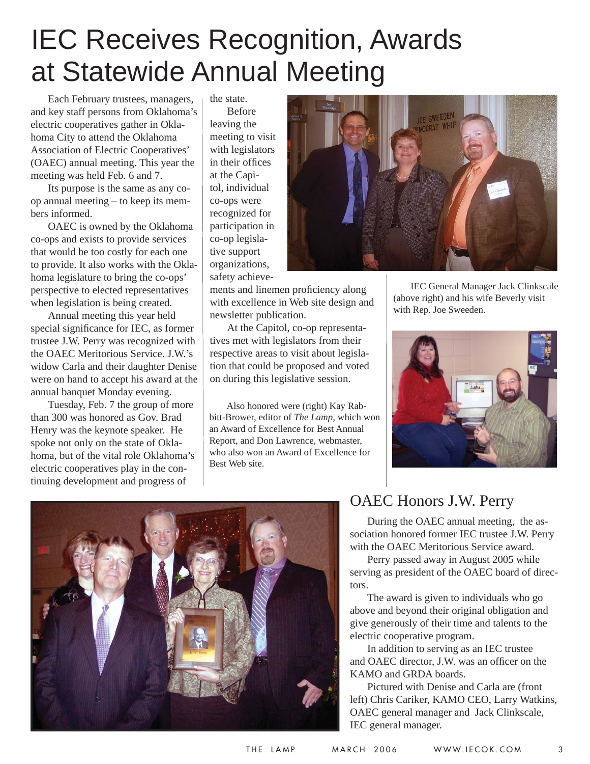## IEC Receives Recognition, Awards at Statewide Annual Meeting

Each February trustees, managers, and key staff persons from Oklahoma's electric cooperatives gather in Oklahoma City to attend the Oklahoma Association of Electric Cooperatives' (OAEC) annual meeting. This year the meeting was held Feb. 6 and 7.

Its purpose is the same as any coop annual meeting – to keep its members informed.

OAEC is owned by the Oklahoma co-ops and exists to provide services that would be too costly for each one to provide. It also works with the Oklahoma legislature to bring the co-ops' perspective to elected representatives when legislation is being created.

Annual meeting this year held special significance for IEC, as former trustee J.W. Perry was recognized with the OAEC Meritorious Service. J.W.'s widow Carla and their daughter Denise were on hand to accept his award at the annual banquet Monday evening.

Tuesday, Feb. 7 the group of more than 300 was honored as Gov. Brad Henry was the keynote speaker. He spoke not only on the state of Oklahoma, but of the vital role Oklahoma's electric cooperatives play in the continuing development and progress of

the state. Before leaving the meeting to visit with legislators in their offices at the Capitol, individual co-ops were recognized for participation in co-op legislative support organizations, safety achieve-

ments and linemen proficiency along with excellence in Web site design and newsletter publication.

At the Capitol, co-op representatives met with legislators from their respective areas to visit about legislation that could be proposed and voted on during this legislative session.

Also honored were (right) Kay Rabbitt-Brower, editor of *The Lamp*, which won an Award of Excellence for Best Annual Report, and Don Lawrence, webmaster, who also won an Award of Excellence for Best Web site.



IEC General Manager Jack Clinkscale (above right) and his wife Beverly visit with Rep. Joe Sweeden.





### OAEC Honors J.W. Perry

During the OAEC annual meeting, the association honored former IEC trustee J.W. Perry with the OAEC Meritorious Service award.

Perry passed away in August 2005 while serving as president of the OAEC board of directors.

The award is given to individuals who go above and beyond their original obligation and give generously of their time and talents to the electric cooperative program.

In addition to serving as an IEC trustee and OAEC director, J.W. was an officer on the KAMO and GRDA boards.

Pictured with Denise and Carla are (front left) Chris Cariker, KAMO CEO, Larry Watkins, OAEC general manager and Jack Clinkscale, IEC general manager.